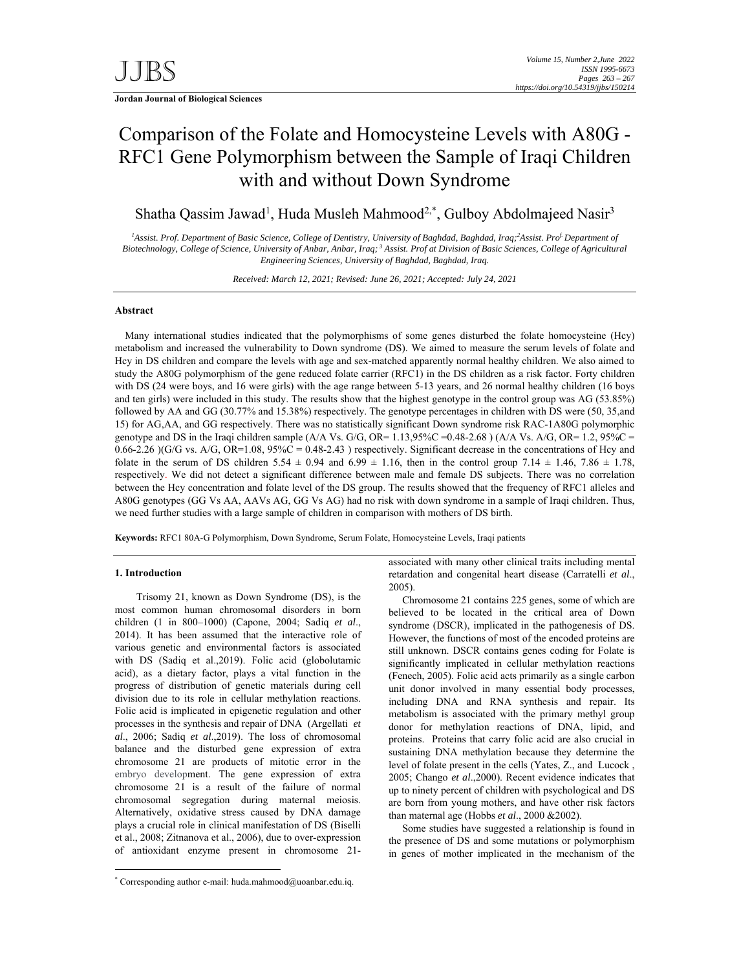# Comparison of the Folate and Homocysteine Levels with A80G - RFC1 Gene Polymorphism between the Sample of Iraqi Children with and without Down Syndrome

Shatha Qassim Jawad<sup>1</sup>, Huda Musleh Mahmood<sup>2,\*</sup>, Gulboy Abdolmajeed Nasir<sup>3</sup>

<sup>*1</sup>*Assist. Prof. Department of Basic Science, College of Dentistry, University of Baghdad, Baghdad, Iraq;<sup>2</sup>Assist. Pro<sup>f.</sup> Department of</sup> *Biotechnology, College of Science, University of Anbar, Anbar, Iraq; 3 Assist. Prof at Division of Basic Sciences, College of Agricultural Engineering Sciences, University of Baghdad, Baghdad, Iraq.* 

*Received: March 12, 2021; Revised: June 26, 2021; Accepted: July 24, 2021* 

### **Abstract**

 Many international studies indicated that the polymorphisms of some genes disturbed the folate homocysteine (Hcy) metabolism and increased the vulnerability to Down syndrome (DS). We aimed to measure the serum levels of folate and Hcy in DS children and compare the levels with age and sex-matched apparently normal healthy children. We also aimed to study the A80G polymorphism of the gene reduced folate carrier (RFC1) in the DS children as a risk factor. Forty children with DS (24 were boys, and 16 were girls) with the age range between 5-13 years, and 26 normal healthy children (16 boys and ten girls) were included in this study. The results show that the highest genotype in the control group was AG (53.85%) followed by AA and GG (30.77% and 15.38%) respectively. The genotype percentages in children with DS were (50, 35,and 15) for AG,AA, and GG respectively. There was no statistically significant Down syndrome risk RAC-1A80G polymorphic genotype and DS in the Iraqi children sample  $(A/A$  Vs. G/G, OR=  $1.13,95\%C = 0.48-2.68$   $(A/A$  Vs. A/G, OR= 1.2, 95%C =  $0.66-2.26$  )(G/G vs. A/G, OR=1.08, 95%C = 0.48-2.43) respectively. Significant decrease in the concentrations of Hcy and folate in the serum of DS children 5.54  $\pm$  0.94 and 6.99  $\pm$  1.16, then in the control group 7.14  $\pm$  1.46, 7.86  $\pm$  1.78, respectively. We did not detect a significant difference between male and female DS subjects. There was no correlation between the Hcy concentration and folate level of the DS group. The results showed that the frequency of RFC1 alleles and A80G genotypes (GG Vs AA, AAVs AG, GG Vs AG) had no risk with down syndrome in a sample of Iraqi children. Thus, we need further studies with a large sample of children in comparison with mothers of DS birth.

**Keywords:** RFC1 80A-G Polymorphism, Down Syndrome, Serum Folate, Homocysteine Levels, Iraqi patients

# **1. Introduction**

-

 Trisomy 21, known as Down Syndrome (DS), is the most common human chromosomal disorders in born children (1 in 800–1000) (Capone, 2004; Sadiq *et al*., 2014). It has been assumed that the interactive role of various genetic and environmental factors is associated with DS (Sadiq et al.,2019). Folic acid (globolutamic acid), as a dietary factor, plays a vital function in the progress of distribution of genetic materials during cell division due to its role in cellular methylation reactions. Folic acid is implicated in epigenetic regulation and other processes in the synthesis and repair of DNA (Argellati *et al*., 2006; Sadiq *et al*.,2019). The loss of chromosomal balance and the disturbed gene expression of extra chromosome 21 are products of mitotic error in the embryo development. The gene expression of extra chromosome 21 is a result of the failure of normal chromosomal segregation during maternal meiosis. Alternatively, oxidative stress caused by DNA damage plays a crucial role in clinical manifestation of DS (Biselli et al., 2008; Zitnanova et al., 2006), due to over-expression of antioxidant enzyme present in chromosome 21associated with many other clinical traits including mental retardation and congenital heart disease (Carratelli *et al*., 2005).

Chromosome 21 contains 225 genes, some of which are believed to be located in the critical area of Down syndrome (DSCR), implicated in the pathogenesis of DS. However, the functions of most of the encoded proteins are still unknown. DSCR contains genes coding for Folate is significantly implicated in cellular methylation reactions (Fenech, 2005). Folic acid acts primarily as a single carbon unit donor involved in many essential body processes, including DNA and RNA synthesis and repair. Its metabolism is associated with the primary methyl group donor for methylation reactions of DNA, lipid, and proteins. Proteins that carry folic acid are also crucial in sustaining DNA methylation because they determine the level of folate present in the cells (Yates, Z., and Lucock , 2005; Chango *et al*.,2000). Recent evidence indicates that up to ninety percent of children with psychological and DS are born from young mothers, and have other risk factors than maternal age (Hobbs *et al*., 2000 &2002).

Some studies have suggested a relationship is found in the presence of DS and some mutations or polymorphism in genes of mother implicated in the mechanism of the

<sup>\*</sup> Corresponding author e-mail: huda.mahmood@uoanbar.edu.iq.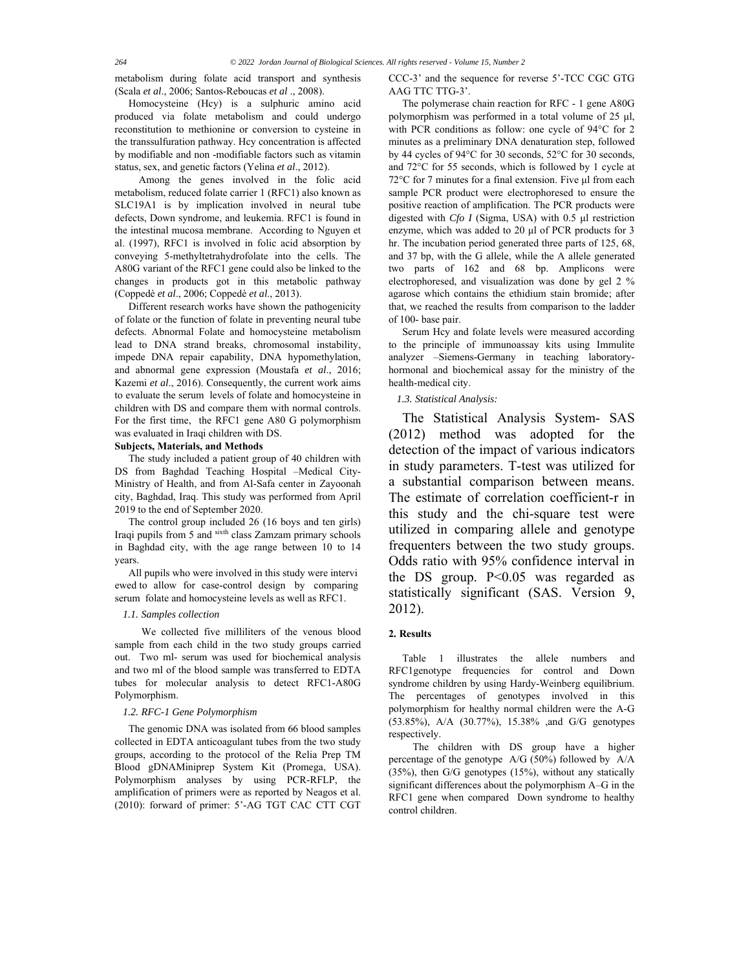metabolism during folate acid transport and synthesis (Scala *et al*., 2006; Santos-Reboucas *et al* ., 2008).

Homocysteine (Hcy) is a sulphuric amino acid produced via folate metabolism and could undergo reconstitution to methionine or conversion to cysteine in the transsulfuration pathway. Hcy concentration is affected by modifiable and non -modifiable factors such as vitamin status, sex, and genetic factors (Yelina *et al*., 2012).

 Among the genes involved in the folic acid metabolism, reduced folate carrier 1 (RFC1) also known as SLC19A1 is by implication involved in neural tube defects, Down syndrome, and leukemia. RFC1 is found in the intestinal mucosa membrane. According to Nguyen et al. (1997), RFC1 is involved in folic acid absorption by conveying 5-methyltetrahydrofolate into the cells. The A80G variant of the RFC1 gene could also be linked to the changes in products got in this metabolic pathway (Coppedè *et al*., 2006; Coppedè *et al*., 2013).

Different research works have shown the pathogenicity of folate or the function of folate in preventing neural tube defects. Abnormal Folate and homocysteine metabolism lead to DNA strand breaks, chromosomal instability, impede DNA repair capability, DNA hypomethylation, and abnormal gene expression (Moustafa *et al*., 2016; Kazemi *et al*., 2016). Consequently, the current work aims to evaluate the serum levels of folate and homocysteine in children with DS and compare them with normal controls. For the first time, the RFC1 gene A80 G polymorphism was evaluated in Iraqi children with DS.

### **Subjects, Materials, and Methods**

The study included a patient group of 40 children with DS from Baghdad Teaching Hospital –Medical City-Ministry of Health, and from Al-Safa center in Zayoonah city, Baghdad, Iraq. This study was performed from April 2019 to the end of September 2020.

The control group included 26 (16 boys and ten girls) Iraqi pupils from 5 and sixth class Zamzam primary schools in Baghdad city, with the age range between 10 to 14 years.

All pupils who were involved in this study were intervi ewed to allow for case-control design by comparing serum folate and homocysteine levels as well as RFC1.

#### *1.1. Samples collection*

 We collected five milliliters of the venous blood sample from each child in the two study groups carried out. Two ml- serum was used for biochemical analysis and two ml of the blood sample was transferred to EDTA tubes for molecular analysis to detect RFC1-A80G Polymorphism.

#### *1.2. RFC-1 Gene Polymorphism*

The genomic DNA was isolated from 66 blood samples collected in EDTA anticoagulant tubes from the two study groups, according to the protocol of the Relia Prep TM Blood gDNAMiniprep System Kit (Promega, USA). Polymorphism analyses by using PCR-RFLP, the amplification of primers were as reported by Neagos et al. (2010): forward of primer: 5'-AG TGT CAC CTT CGT

CCC-3' and the sequence for reverse 5'-TCC CGC GTG AAG TTC TTG-3'.

The polymerase chain reaction for RFC - 1 gene A80G polymorphism was performed in a total volume of 25 μl, with PCR conditions as follow: one cycle of 94°C for 2 minutes as a preliminary DNA denaturation step, followed by 44 cycles of 94°C for 30 seconds, 52°C for 30 seconds, and 72°C for 55 seconds, which is followed by 1 cycle at 72°C for 7 minutes for a final extension. Five μl from each sample PCR product were electrophoresed to ensure the positive reaction of amplification. The PCR products were digested with *Cfo I* (Sigma, USA) with 0.5 μl restriction enzyme, which was added to 20 μl of PCR products for 3 hr. The incubation period generated three parts of 125, 68, and 37 bp, with the G allele, while the A allele generated two parts of 162 and 68 bp. Amplicons were electrophoresed, and visualization was done by gel 2 % agarose which contains the ethidium stain bromide; after that, we reached the results from comparison to the ladder of 100- base pair.

Serum Hcy and folate levels were measured according to the principle of immunoassay kits using Immulite analyzer –Siemens-Germany in teaching laboratoryhormonal and biochemical assay for the ministry of the health-medical city.

### *1.3. Statistical Analysis:*

 The Statistical Analysis System- SAS (2012) method was adopted for the detection of the impact of various indicators in study parameters. T-test was utilized for a substantial comparison between means. The estimate of correlation coefficient-r in this study and the chi-square test were utilized in comparing allele and genotype frequenters between the two study groups. Odds ratio with 95% confidence interval in the DS group. P<0.05 was regarded as statistically significant (SAS. Version 9, 2012).

## **2. Results**

Table 1 illustrates the allele numbers and RFC1genotype frequencies for control and Down syndrome children by using Hardy-Weinberg equilibrium. The percentages of genotypes involved in this polymorphism for healthy normal children were the A-G (53.85%), A/A (30.77%), 15.38% ,and G/G genotypes respectively.

 The children with DS group have a higher percentage of the genotype A/G (50%) followed by A/A (35%), then G/G genotypes (15%), without any statically significant differences about the polymorphism A–G in the RFC1 gene when compared Down syndrome to healthy control children.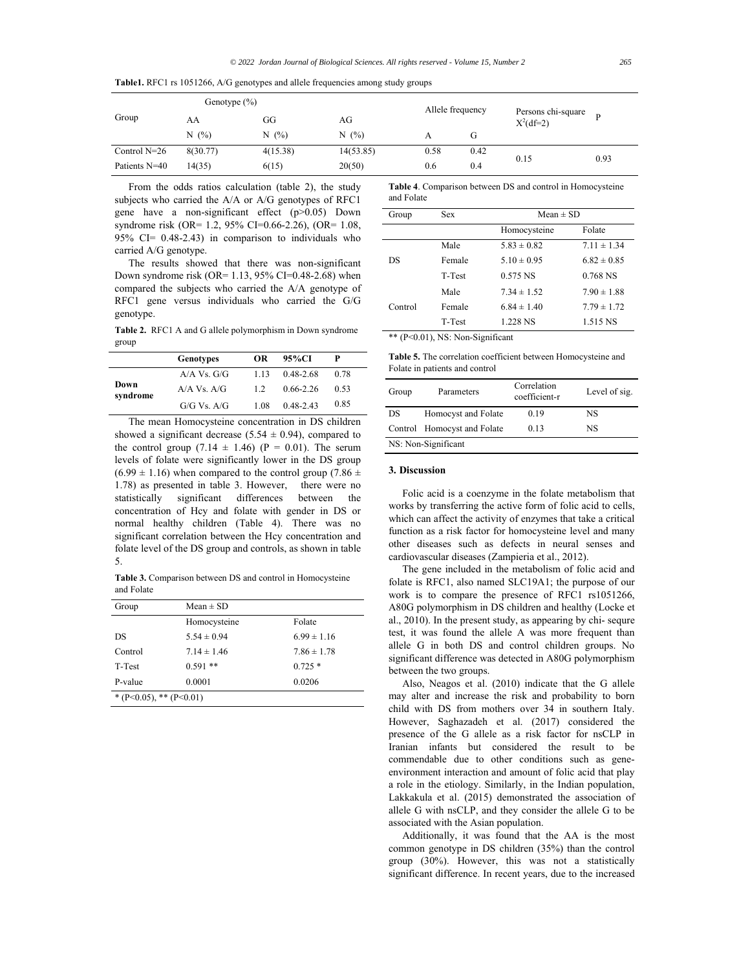**Table1.** RFC1 rs 1051266, A/G genotypes and allele frequencies among study groups

|                | Genotype $(\% )$ |          |           | Allele frequency |      |                                   |      |
|----------------|------------------|----------|-----------|------------------|------|-----------------------------------|------|
| Group          | AA               | GG       | AG        |                  |      | Persons chi-square<br>$X^2(df=2)$ | D    |
|                | N(%)             | N(%)     | N(%)      |                  | G    |                                   |      |
| Control $N=26$ | 8(30.77)         | 4(15.38) | 14(53.85) | 0.58             | 0.42 | 0.15                              | 0.93 |
| Patients N=40  | 14(35)           | 6(15)    | 20(50)    | 0.6              | 0.4  |                                   |      |

From the odds ratios calculation (table 2), the study subjects who carried the A/A or A/G genotypes of RFC1 gene have a non-significant effect (p>0.05) Down syndrome risk (OR= 1.2, 95% CI=0.66-2.26), (OR= 1.08, 95% CI= 0.48-2.43) in comparison to individuals who carried A/G genotype.

The results showed that there was non-significant Down syndrome risk (OR= 1.13, 95% CI=0.48-2.68) when compared the subjects who carried the A/A genotype of RFC1 gene versus individuals who carried the G/G genotype.

**Table 2.** RFC1 A and G allele polymorphism in Down syndrome group

|                  | <b>Genotypes</b> | <b>OR</b> | 95%CI         | P    |  |
|------------------|------------------|-----------|---------------|------|--|
|                  | $A/A$ Vs. $G/G$  | 1.13      | 0.48-2.68     | 0.78 |  |
| Down<br>syndrome | $A/A$ Vs. $A/G$  | 1.2       | $0.66 - 2.26$ | 0.53 |  |
|                  | G/G Vs. A/G      | 1.08      | $0.48 - 2.43$ | 0.85 |  |

The mean Homocysteine concentration in DS children showed a significant decrease (5.54  $\pm$  0.94), compared to the control group  $(7.14 \pm 1.46)$  (P = 0.01). The serum levels of folate were significantly lower in the DS group  $(6.99 \pm 1.16)$  when compared to the control group (7.86  $\pm$ 1.78) as presented in table 3. However, there were no statistically significant differences between the concentration of Hcy and folate with gender in DS or normal healthy children (Table 4). There was no significant correlation between the Hcy concentration and folate level of the DS group and controls, as shown in table 5.

**Table 3.** Comparison between DS and control in Homocysteine and Folate

| Group                   | $Mean \pm SD$   |                 |  |
|-------------------------|-----------------|-----------------|--|
|                         | Homocysteine    | Folate          |  |
| DS                      | $5.54 \pm 0.94$ | $6.99 \pm 1.16$ |  |
| Control                 | $7.14 \pm 1.46$ | $7.86 \pm 1.78$ |  |
| T-Test                  | $0.591**$       | $0.725*$        |  |
| P-value                 | 0.0001          | 0.0206          |  |
| * (P<0.05), ** (P<0.01) |                 |                 |  |

**Table 4**. Comparison between DS and control in Homocysteine and Folate

| Group     | Sex    | $Mean \pm SD$   |                 |  |
|-----------|--------|-----------------|-----------------|--|
|           |        | Homocysteine    | Folate          |  |
|           | Male   | $5.83 \pm 0.82$ | $7.11 \pm 1.34$ |  |
| <b>DS</b> | Female | $5.10 \pm 0.95$ | $6.82 \pm 0.85$ |  |
|           | T-Test | $0.575$ NS      | 0.768 NS        |  |
|           | Male   | $7.34 \pm 1.52$ | $7.90 \pm 1.88$ |  |
| Control   | Female | $6.84 \pm 1.40$ | $7.79 \pm 1.72$ |  |
|           | T-Test | 1.228 NS        | 1.515 NS        |  |
|           |        |                 |                 |  |

\*\* (P<0.01), NS: Non-Significant

**Table 5.** The correlation coefficient between Homocysteine and Folate in patients and control

| Group | Parameters                  | Correlation<br>coefficient-r | Level of sig. |
|-------|-----------------------------|------------------------------|---------------|
| DS    | Homocyst and Folate         | 0.19                         | NS            |
|       | Control Homocyst and Folate | 0.13                         | NS            |
|       | NS: Non-Significant         |                              |               |

## **3. Discussion**

Folic acid is a coenzyme in the folate metabolism that works by transferring the active form of folic acid to cells, which can affect the activity of enzymes that take a critical function as a risk factor for homocysteine level and many other diseases such as defects in neural senses and cardiovascular diseases (Zampieria et al., 2012).

The gene included in the metabolism of folic acid and folate is RFC1, also named SLC19A1; the purpose of our work is to compare the presence of RFC1 rs1051266, A80G polymorphism in DS children and healthy (Locke et al., 2010). In the present study, as appearing by chi- sequre test, it was found the allele A was more frequent than allele G in both DS and control children groups. No significant difference was detected in A80G polymorphism between the two groups.

Also, Neagos et al. (2010) indicate that the G allele may alter and increase the risk and probability to born child with DS from mothers over 34 in southern Italy. However, Saghazadeh et al. (2017) considered the presence of the G allele as a risk factor for nsCLP in Iranian infants but considered the result to be commendable due to other conditions such as geneenvironment interaction and amount of folic acid that play a role in the etiology. Similarly, in the Indian population, Lakkakula et al. (2015) demonstrated the association of allele G with nsCLP, and they consider the allele G to be associated with the Asian population.

Additionally, it was found that the AA is the most common genotype in DS children (35%) than the control group (30%). However, this was not a statistically significant difference. In recent years, due to the increased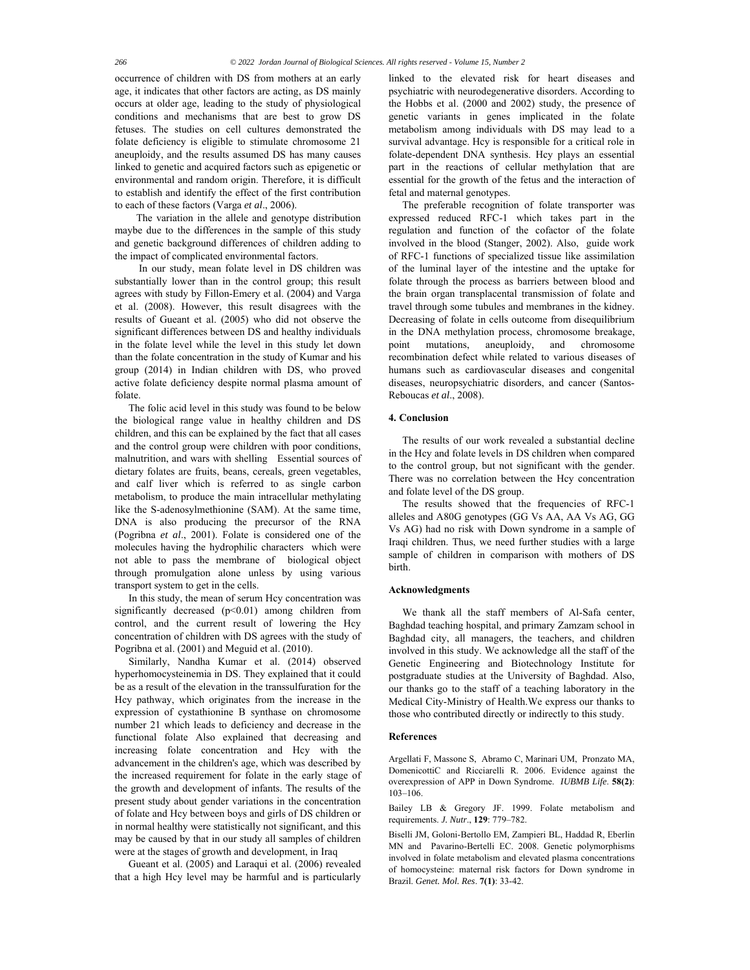occurrence of children with DS from mothers at an early age, it indicates that other factors are acting, as DS mainly occurs at older age, leading to the study of physiological conditions and mechanisms that are best to grow DS fetuses. The studies on cell cultures demonstrated the folate deficiency is eligible to stimulate chromosome 21 aneuploidy, and the results assumed DS has many causes linked to genetic and acquired factors such as epigenetic or environmental and random origin. Therefore, it is difficult to establish and identify the effect of the first contribution to each of these factors (Varga *et al*., 2006).

 The variation in the allele and genotype distribution maybe due to the differences in the sample of this study and genetic background differences of children adding to the impact of complicated environmental factors.

 In our study, mean folate level in DS children was substantially lower than in the control group; this result agrees with study by Fillon-Emery et al. (2004) and Varga et al. (2008). However, this result disagrees with the results of Gueant et al. (2005) who did not observe the significant differences between DS and healthy individuals in the folate level while the level in this study let down than the folate concentration in the study of Kumar and his group (2014) in Indian children with DS, who proved active folate deficiency despite normal plasma amount of folate.

The folic acid level in this study was found to be below the biological range value in healthy children and DS children, and this can be explained by the fact that all cases and the control group were children with poor conditions, malnutrition, and wars with shelling Essential sources of dietary folates are fruits, beans, cereals, green vegetables, and calf liver which is referred to as single carbon metabolism, to produce the main intracellular methylating like the S-adenosylmethionine (SAM). At the same time, DNA is also producing the precursor of the RNA (Pogribna *et al*., 2001). Folate is considered one of the molecules having the hydrophilic characters which were not able to pass the membrane of biological object through promulgation alone unless by using various transport system to get in the cells.

In this study, the mean of serum Hcy concentration was significantly decreased  $(p<0.01)$  among children from control, and the current result of lowering the Hcy concentration of children with DS agrees with the study of Pogribna et al. (2001) and Meguid et al. (2010).

Similarly, Nandha Kumar et al. (2014) observed hyperhomocysteinemia in DS. They explained that it could be as a result of the elevation in the transsulfuration for the Hcy pathway, which originates from the increase in the expression of cystathionine B synthase on chromosome number 21 which leads to deficiency and decrease in the functional folate Also explained that decreasing and increasing folate concentration and Hcy with the advancement in the children's age, which was described by the increased requirement for folate in the early stage of the growth and development of infants. The results of the present study about gender variations in the concentration of folate and Hcy between boys and girls of DS children or in normal healthy were statistically not significant, and this may be caused by that in our study all samples of children were at the stages of growth and development, in Iraq

Gueant et al. (2005) and Laraqui et al. (2006) revealed that a high Hcy level may be harmful and is particularly linked to the elevated risk for heart diseases and psychiatric with neurodegenerative disorders. According to the Hobbs et al. (2000 and 2002) study, the presence of genetic variants in genes implicated in the folate metabolism among individuals with DS may lead to a survival advantage. Hcy is responsible for a critical role in folate-dependent DNA synthesis. Hcy plays an essential part in the reactions of cellular methylation that are essential for the growth of the fetus and the interaction of fetal and maternal genotypes.

The preferable recognition of folate transporter was expressed reduced RFC-1 which takes part in the regulation and function of the cofactor of the folate involved in the blood (Stanger, 2002). Also, guide work of RFC-1 functions of specialized tissue like assimilation of the luminal layer of the intestine and the uptake for folate through the process as barriers between blood and the brain organ transplacental transmission of folate and travel through some tubules and membranes in the kidney. Decreasing of folate in cells outcome from disequilibrium in the DNA methylation process, chromosome breakage, point mutations, aneuploidy, and chromosome recombination defect while related to various diseases of humans such as cardiovascular diseases and congenital diseases, neuropsychiatric disorders, and cancer (Santos-Reboucas *et al*., 2008).

#### **4. Conclusion**

The results of our work revealed a substantial decline in the Hcy and folate levels in DS children when compared to the control group, but not significant with the gender. There was no correlation between the Hcy concentration and folate level of the DS group.

The results showed that the frequencies of RFC-1 alleles and A80G genotypes (GG Vs AA, AA Vs AG, GG Vs AG) had no risk with Down syndrome in a sample of Iraqi children. Thus, we need further studies with a large sample of children in comparison with mothers of DS birth.

#### **Acknowledgments**

We thank all the staff members of Al-Safa center, Baghdad teaching hospital, and primary Zamzam school in Baghdad city, all managers, the teachers, and children involved in this study. We acknowledge all the staff of the Genetic Engineering and Biotechnology Institute for postgraduate studies at the University of Baghdad. Also, our thanks go to the staff of a teaching laboratory in the Medical City-Ministry of Health.We express our thanks to those who contributed directly or indirectly to this study.

#### **References**

Argellati F, Massone S, Abramo C, Marinari UM, Pronzato MA, DomenicottiC and Ricciarelli R. 2006. Evidence against the overexpression of APP in Down Syndrome. *IUBMB Life*. **58(2)**: 103–106.

Bailey LB & Gregory JF. 1999. Folate metabolism and requirements. *J. Nutr*., **129**: 779–782.

Biselli JM, Goloni-Bertollo EM, Zampieri BL, Haddad R, Eberlin MN and Pavarino-Bertelli EC. 2008. Genetic polymorphisms involved in folate metabolism and elevated plasma concentrations of homocysteine: maternal risk factors for Down syndrome in Brazil. *Genet. Mol. Res*. **7(1)**: 33-42.